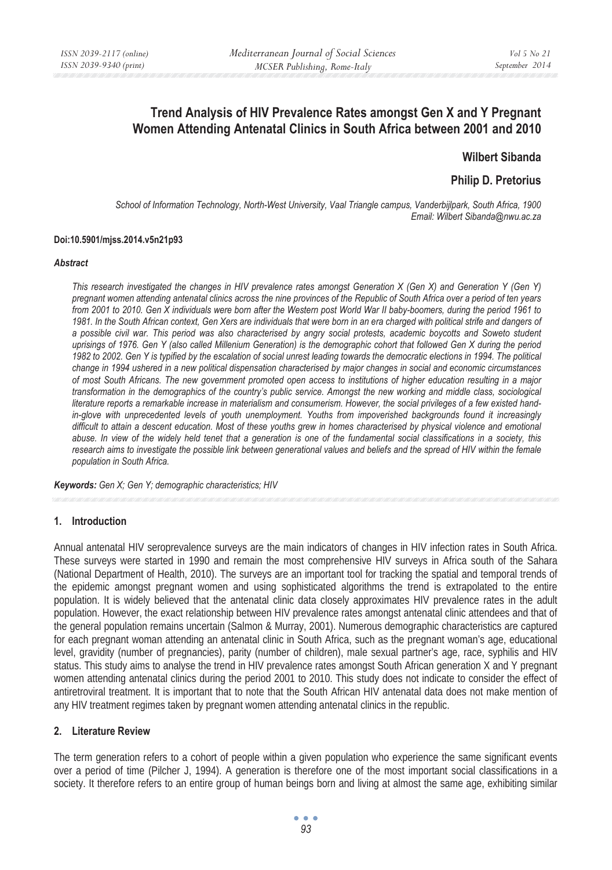# **Trend Analysis of HIV Prevalence Rates amongst Gen X and Y Pregnant Women Attending Antenatal Clinics in South Africa between 2001 and 2010**

## **Wilbert Sibanda**

## **Philip D. Pretorius**

*School of Information Technology, North-West University, Vaal Triangle campus, Vanderbijlpark, South Africa, 1900 Email: Wilbert Sibanda@nwu.ac.za* 

#### **Doi:10.5901/mjss.2014.v5n21p93**

#### *Abstract*

*This research investigated the changes in HIV prevalence rates amongst Generation X (Gen X) and Generation Y (Gen Y) pregnant women attending antenatal clinics across the nine provinces of the Republic of South Africa over a period of ten years from 2001 to 2010. Gen X individuals were born after the Western post World War II baby-boomers, during the period 1961 to 1981. In the South African context, Gen Xers are individuals that were born in an era charged with political strife and dangers of a possible civil war. This period was also characterised by angry social protests, academic boycotts and Soweto student uprisings of 1976. Gen Y (also called Millenium Generation) is the demographic cohort that followed Gen X during the period 1982 to 2002. Gen Y is typified by the escalation of social unrest leading towards the democratic elections in 1994. The political change in 1994 ushered in a new political dispensation characterised by major changes in social and economic circumstances of most South Africans. The new government promoted open access to institutions of higher education resulting in a major transformation in the demographics of the country's public service. Amongst the new working and middle class, sociological literature reports a remarkable increase in materialism and consumerism. However, the social privileges of a few existed handin-glove with unprecedented levels of youth unemployment. Youths from impoverished backgrounds found it increasingly*  difficult to attain a descent education. Most of these youths grew in homes characterised by physical violence and emotional *abuse. In view of the widely held tenet that a generation is one of the fundamental social classifications in a society, this research aims to investigate the possible link between generational values and beliefs and the spread of HIV within the female population in South Africa.* 

*Keywords: Gen X; Gen Y; demographic characteristics; HIV*

#### **1. Introduction**

Annual antenatal HIV seroprevalence surveys are the main indicators of changes in HIV infection rates in South Africa. These surveys were started in 1990 and remain the most comprehensive HIV surveys in Africa south of the Sahara (National Department of Health, 2010). The surveys are an important tool for tracking the spatial and temporal trends of the epidemic amongst pregnant women and using sophisticated algorithms the trend is extrapolated to the entire population. It is widely believed that the antenatal clinic data closely approximates HIV prevalence rates in the adult population. However, the exact relationship between HIV prevalence rates amongst antenatal clinic attendees and that of the general population remains uncertain (Salmon & Murray, 2001). Numerous demographic characteristics are captured for each pregnant woman attending an antenatal clinic in South Africa, such as the pregnant woman's age, educational level, gravidity (number of pregnancies), parity (number of children), male sexual partner's age, race, syphilis and HIV status. This study aims to analyse the trend in HIV prevalence rates amongst South African generation X and Y pregnant women attending antenatal clinics during the period 2001 to 2010. This study does not indicate to consider the effect of antiretroviral treatment. It is important that to note that the South African HIV antenatal data does not make mention of any HIV treatment regimes taken by pregnant women attending antenatal clinics in the republic.

### **2. Literature Review**

The term generation refers to a cohort of people within a given population who experience the same significant events over a period of time (Pilcher J, 1994). A generation is therefore one of the most important social classifications in a society. It therefore refers to an entire group of human beings born and living at almost the same age, exhibiting similar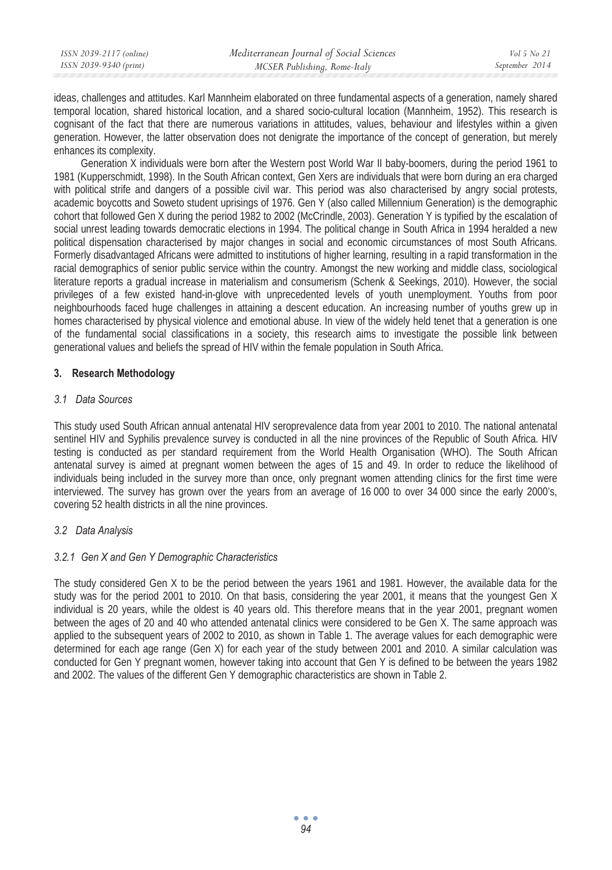| ISSN 2039-2117 (online) | Mediterranean Journal of Social Sciences | Vol 5 No 21    |
|-------------------------|------------------------------------------|----------------|
| ISSN 2039-9340 (print)  | MCSER Publishing, Rome-Italy             | September 2014 |

ideas, challenges and attitudes. Karl Mannheim elaborated on three fundamental aspects of a generation, namely shared temporal location, shared historical location, and a shared socio-cultural location (Mannheim, 1952). This research is cognisant of the fact that there are numerous variations in attitudes, values, behaviour and lifestyles within a given generation. However, the latter observation does not denigrate the importance of the concept of generation, but merely enhances its complexity.

Generation X individuals were born after the Western post World War II baby-boomers, during the period 1961 to 1981 (Kupperschmidt, 1998). In the South African context, Gen Xers are individuals that were born during an era charged with political strife and dangers of a possible civil war. This period was also characterised by angry social protests, academic boycotts and Soweto student uprisings of 1976. Gen Y (also called Millennium Generation) is the demographic cohort that followed Gen X during the period 1982 to 2002 (McCrindle, 2003). Generation Y is typified by the escalation of social unrest leading towards democratic elections in 1994. The political change in South Africa in 1994 heralded a new political dispensation characterised by major changes in social and economic circumstances of most South Africans. Formerly disadvantaged Africans were admitted to institutions of higher learning, resulting in a rapid transformation in the racial demographics of senior public service within the country. Amongst the new working and middle class, sociological literature reports a gradual increase in materialism and consumerism (Schenk & Seekings, 2010). However, the social privileges of a few existed hand-in-glove with unprecedented levels of youth unemployment. Youths from poor neighbourhoods faced huge challenges in attaining a descent education. An increasing number of youths grew up in homes characterised by physical violence and emotional abuse. In view of the widely held tenet that a generation is one of the fundamental social classifications in a society, this research aims to investigate the possible link between generational values and beliefs the spread of HIV within the female population in South Africa.

### **3. Research Methodology**

### *3.1 Data Sources*

This study used South African annual antenatal HIV seroprevalence data from year 2001 to 2010. The national antenatal sentinel HIV and Syphilis prevalence survey is conducted in all the nine provinces of the Republic of South Africa. HIV testing is conducted as per standard requirement from the World Health Organisation (WHO). The South African antenatal survey is aimed at pregnant women between the ages of 15 and 49. In order to reduce the likelihood of individuals being included in the survey more than once, only pregnant women attending clinics for the first time were interviewed. The survey has grown over the years from an average of 16 000 to over 34 000 since the early 2000's, covering 52 health districts in all the nine provinces.

## *3.2 Data Analysis*

### *3.2.1 Gen X and Gen Y Demographic Characteristics*

The study considered Gen X to be the period between the years 1961 and 1981. However, the available data for the study was for the period 2001 to 2010. On that basis, considering the year 2001, it means that the youngest Gen X individual is 20 years, while the oldest is 40 years old. This therefore means that in the year 2001, pregnant women between the ages of 20 and 40 who attended antenatal clinics were considered to be Gen X. The same approach was applied to the subsequent years of 2002 to 2010, as shown in Table 1. The average values for each demographic were determined for each age range (Gen X) for each year of the study between 2001 and 2010. A similar calculation was conducted for Gen Y pregnant women, however taking into account that Gen Y is defined to be between the years 1982 and 2002. The values of the different Gen Y demographic characteristics are shown in Table 2.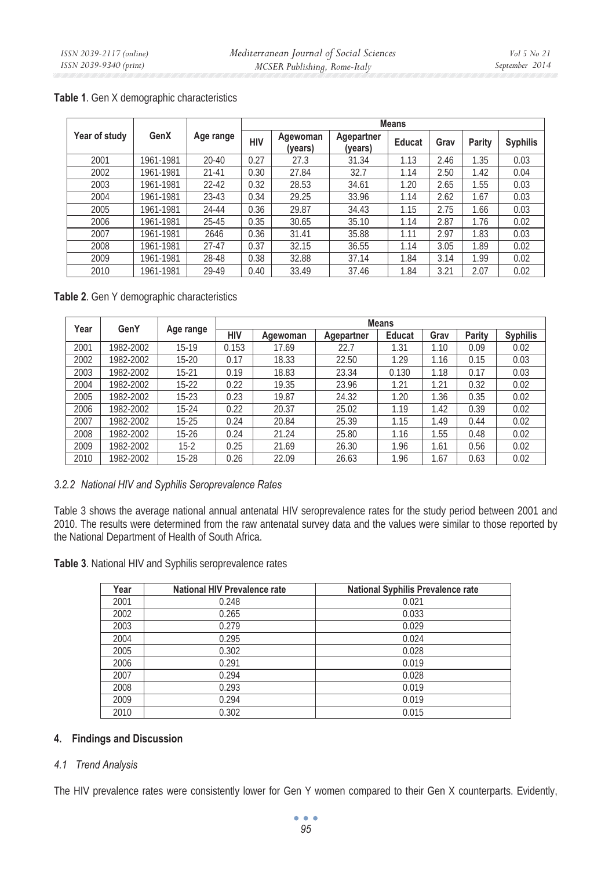|               |           |           |      | <b>Means</b>        |                       |        |      |        |                 |  |  |  |
|---------------|-----------|-----------|------|---------------------|-----------------------|--------|------|--------|-----------------|--|--|--|
| Year of study | GenX      | Age range | HIV  | Agewoman<br>(vears) | Agepartner<br>(years) | Educat | Grav | Parity | <b>Syphilis</b> |  |  |  |
| 2001          | 1961-1981 | $20 - 40$ | 0.27 | 27.3                | 31.34                 | 1.13   | 2.46 | 1.35   | 0.03            |  |  |  |
| 2002          | 1961-1981 | $21 - 41$ | 0.30 | 27.84               | 32.7                  | 1.14   | 2.50 | 1.42   | 0.04            |  |  |  |
| 2003          | 1961-1981 | $22 - 42$ | 0.32 | 28.53               | 34.61                 | 1.20   | 2.65 | 1.55   | 0.03            |  |  |  |
| 2004          | 1961-1981 | $23 - 43$ | 0.34 | 29.25               | 33.96                 | 1.14   | 2.62 | 1.67   | 0.03            |  |  |  |
| 2005          | 1961-1981 | 24-44     | 0.36 | 29.87               | 34.43                 | 1.15   | 2.75 | 1.66   | 0.03            |  |  |  |
| 2006          | 1961-1981 | $25 - 45$ | 0.35 | 30.65               | 35.10                 | 1.14   | 2.87 | 1.76   | 0.02            |  |  |  |
| 2007          | 1961-1981 | 2646      | 0.36 | 31.41               | 35.88                 | 1.11   | 2.97 | 1.83   | 0.03            |  |  |  |
| 2008          | 1961-1981 | $27-47$   | 0.37 | 32.15               | 36.55                 | 1.14   | 3.05 | 1.89   | 0.02            |  |  |  |
| 2009          | 1961-1981 | 28-48     | 0.38 | 32.88               | 37.14                 | 1.84   | 3.14 | 1.99   | 0.02            |  |  |  |
| 2010          | 1961-1981 | 29-49     | 0.40 | 33.49               | 37.46                 | 1.84   | 3.21 | 2.07   | 0.02            |  |  |  |

**Table 1**. Gen X demographic characteristics

**Table 2**. Gen Y demographic characteristics

| Year | GenY      |           | <b>Means</b> |          |            |               |      |        |                 |  |  |
|------|-----------|-----------|--------------|----------|------------|---------------|------|--------|-----------------|--|--|
|      |           | Age range | HIV          | Agewoman | Agepartner | <b>Educat</b> | Grav | Parity | <b>Syphilis</b> |  |  |
| 2001 | 982-2002  | 15-19     | 0.153        | 17.69    | 22.7       | 1.31          | 1.10 | 0.09   | 0.02            |  |  |
| 2002 | 1982-2002 | 15-20     | 0.17         | 18.33    | 22.50      | 1.29          | 1.16 | 0.15   | 0.03            |  |  |
| 2003 | 1982-2002 | $15 - 21$ | 0.19         | 18.83    | 23.34      | 0.130         | 1.18 | 0.17   | 0.03            |  |  |
| 2004 | 1982-2002 | $15-22$   | 0.22         | 19.35    | 23.96      | 1.21          | 1.21 | 0.32   | 0.02            |  |  |
| 2005 | 982-2002  | $15-23$   | 0.23         | 19.87    | 24.32      | 1.20          | 1.36 | 0.35   | 0.02            |  |  |
| 2006 | 1982-2002 | 15-24     | 0.22         | 20.37    | 25.02      | 1.19          | 1.42 | 0.39   | 0.02            |  |  |
| 2007 | 982-2002  | $15-25$   | 0.24         | 20.84    | 25.39      | 1.15          | 1.49 | 0.44   | 0.02            |  |  |
| 2008 | 1982-2002 | 15-26     | 0.24         | 21.24    | 25.80      | 1.16          | 1.55 | 0.48   | 0.02            |  |  |
| 2009 | 1982-2002 | $15-2$    | 0.25         | 21.69    | 26.30      | 1.96          | 1.61 | 0.56   | 0.02            |  |  |
| 2010 | 982-2002  | 15-28     | 0.26         | 22.09    | 26.63      | 1.96          | 1.67 | 0.63   | 0.02            |  |  |

### *3.2.2 National HIV and Syphilis Seroprevalence Rates*

Table 3 shows the average national annual antenatal HIV seroprevalence rates for the study period between 2001 and 2010. The results were determined from the raw antenatal survey data and the values were similar to those reported by the National Department of Health of South Africa.

**Table 3**. National HIV and Syphilis seroprevalence rates

| Year | <b>National HIV Prevalence rate</b> | <b>National Syphilis Prevalence rate</b> |
|------|-------------------------------------|------------------------------------------|
| 2001 | 0.248                               | 0.021                                    |
| 2002 | 0.265                               | 0.033                                    |
| 2003 | 0.279                               | 0.029                                    |
| 2004 | 0.295                               | 0.024                                    |
| 2005 | 0.302                               | 0.028                                    |
| 2006 | 0.291                               | 0.019                                    |
| 2007 | 0.294                               | 0.028                                    |
| 2008 | 0.293                               | 0.019                                    |
| 2009 | 0.294                               | 0.019                                    |
| 2010 | 0.302                               | 0.015                                    |

## **4. Findings and Discussion**

## *4.1 Trend Analysis*

The HIV prevalence rates were consistently lower for Gen Y women compared to their Gen X counterparts. Evidently,

 $\bullet$   $\bullet$   $\bullet$ *95*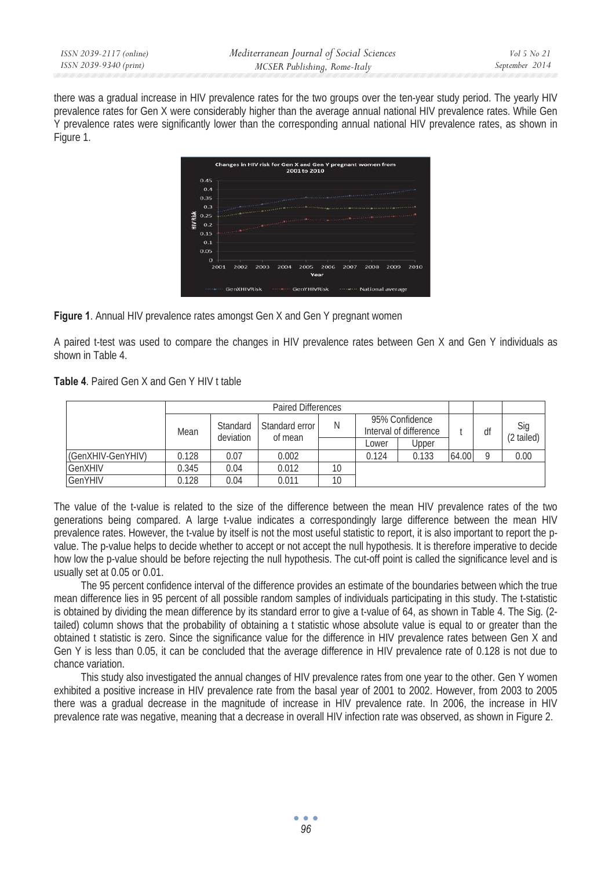| ISSN 2039-2117 (online) | Mediterranean Journal of Social Sciences | <i>Vol</i> 5 No 21 |
|-------------------------|------------------------------------------|--------------------|
| ISSN 2039-9340 (print)  | MCSER Publishing, Rome-Italy             | September 2014     |

there was a gradual increase in HIV prevalence rates for the two groups over the ten-year study period. The yearly HIV prevalence rates for Gen X were considerably higher than the average annual national HIV prevalence rates. While Gen Y prevalence rates were significantly lower than the corresponding annual national HIV prevalence rates, as shown in Figure 1.

|                 |          |      |      |      |      | Changes in HIV risk for Gen X and Gen Y pregnant women from<br>2001 to 2010                                                  |      |                   |      |      |      |
|-----------------|----------|------|------|------|------|------------------------------------------------------------------------------------------------------------------------------|------|-------------------|------|------|------|
|                 | 0.45     |      |      |      |      |                                                                                                                              |      |                   |      |      |      |
|                 | 0.4      |      |      |      |      |                                                                                                                              |      |                   |      |      |      |
|                 | 0.35     |      |      |      |      | <b><i>NAMES IN COLUMN TWO IS NOT</i></b>                                                                                     |      | <b>STATISTICS</b> |      |      |      |
|                 | 0.3      |      |      |      |      |                                                                                                                              |      |                   |      |      |      |
|                 | 0.25     |      |      |      |      |                                                                                                                              |      | <b>Chairman</b>   |      |      |      |
| <b>HIV Risk</b> | 0.2      |      |      |      |      | <b>The American State Contract Of the Company of the Company of the Company of the Company of the Company of the Company</b> |      |                   |      |      |      |
|                 | 0.15     |      |      |      |      |                                                                                                                              |      |                   |      |      |      |
|                 | 0.1      |      |      |      |      |                                                                                                                              |      |                   |      |      |      |
|                 | 0.05     |      |      |      |      |                                                                                                                              |      |                   |      |      |      |
|                 | $\Omega$ |      |      |      |      |                                                                                                                              |      |                   |      |      |      |
|                 |          | 2001 | 2002 | 2003 | 2004 | 2005                                                                                                                         | 2006 | 2007              | 2008 | 2009 | 2010 |
|                 |          |      |      |      |      |                                                                                                                              | Year |                   |      |      |      |
|                 |          |      |      |      |      |                                                                                                                              |      |                   |      |      |      |

**Figure 1**. Annual HIV prevalence rates amongst Gen X and Gen Y pregnant women

A paired t-test was used to compare the changes in HIV prevalence rates between Gen X and Gen Y individuals as shown in Table 4.

**Table 4**. Paired Gen X and Gen Y HIV t table

|                   | Mean  | Standard<br>deviation | Standard error | Ν               |       | 95% Confidence<br>Interval of difference |       | df | Sig<br>(2 tailed) |
|-------------------|-------|-----------------------|----------------|-----------------|-------|------------------------------------------|-------|----|-------------------|
|                   |       |                       | of mean        |                 | Lower | Upper                                    |       |    |                   |
| (GenXHIV-GenYHIV) | 0.128 | 0.07                  | 0.002          |                 | 0.124 | 0.133                                    | 64.00 | Q  | 0.00              |
| <b>GenXHIV</b>    | 0.345 | 0.04                  | 0.012          | 10 <sup>°</sup> |       |                                          |       |    |                   |
| <b>GenYHIV</b>    | 0.128 | 0.04                  | 0.011          | 10              |       |                                          |       |    |                   |

The value of the t-value is related to the size of the difference between the mean HIV prevalence rates of the two generations being compared. A large t-value indicates a correspondingly large difference between the mean HIV prevalence rates. However, the t-value by itself is not the most useful statistic to report, it is also important to report the pvalue. The p-value helps to decide whether to accept or not accept the null hypothesis. It is therefore imperative to decide how low the p-value should be before rejecting the null hypothesis. The cut-off point is called the significance level and is usually set at 0.05 or 0.01.

The 95 percent confidence interval of the difference provides an estimate of the boundaries between which the true mean difference lies in 95 percent of all possible random samples of individuals participating in this study. The t-statistic is obtained by dividing the mean difference by its standard error to give a t-value of 64, as shown in Table 4. The Sig. (2 tailed) column shows that the probability of obtaining a t statistic whose absolute value is equal to or greater than the obtained t statistic is zero. Since the significance value for the difference in HIV prevalence rates between Gen X and Gen Y is less than 0.05, it can be concluded that the average difference in HIV prevalence rate of 0.128 is not due to chance variation.

This study also investigated the annual changes of HIV prevalence rates from one year to the other. Gen Y women exhibited a positive increase in HIV prevalence rate from the basal year of 2001 to 2002. However, from 2003 to 2005 there was a gradual decrease in the magnitude of increase in HIV prevalence rate. In 2006, the increase in HIV prevalence rate was negative, meaning that a decrease in overall HIV infection rate was observed, as shown in Figure 2.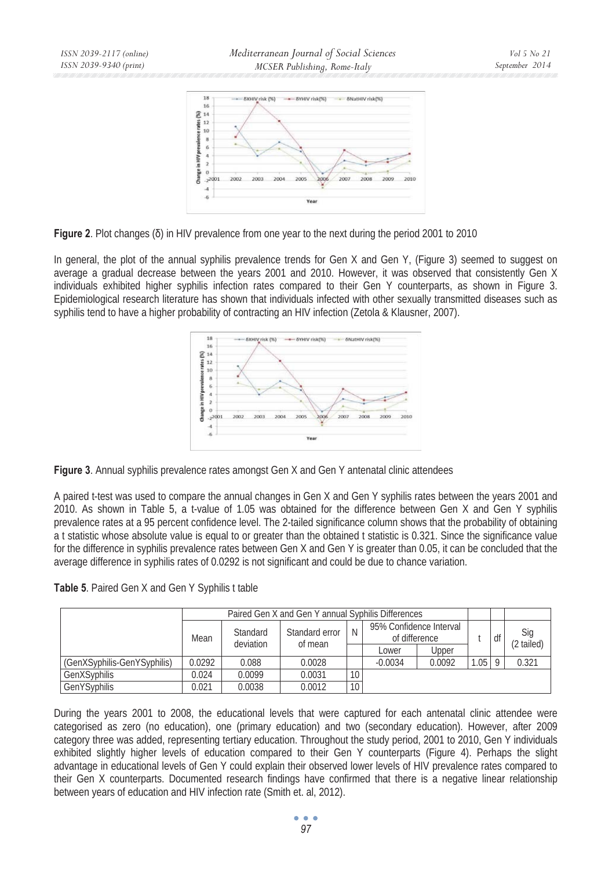

**Figure 2.** Plot changes ( $\delta$ ) in HIV prevalence from one year to the next during the period 2001 to 2010

In general, the plot of the annual syphilis prevalence trends for Gen X and Gen Y, (Figure 3) seemed to suggest on average a gradual decrease between the years 2001 and 2010. However, it was observed that consistently Gen X individuals exhibited higher syphilis infection rates compared to their Gen Y counterparts, as shown in Figure 3. Epidemiological research literature has shown that individuals infected with other sexually transmitted diseases such as syphilis tend to have a higher probability of contracting an HIV infection (Zetola & Klausner, 2007).



**Figure 3**. Annual syphilis prevalence rates amongst Gen X and Gen Y antenatal clinic attendees

A paired t-test was used to compare the annual changes in Gen X and Gen Y syphilis rates between the years 2001 and 2010. As shown in Table 5, a t-value of 1.05 was obtained for the difference between Gen X and Gen Y syphilis prevalence rates at a 95 percent confidence level. The 2-tailed significance column shows that the probability of obtaining a t statistic whose absolute value is equal to or greater than the obtained t statistic is 0.321. Since the significance value for the difference in syphilis prevalence rates between Gen X and Gen Y is greater than 0.05, it can be concluded that the average difference in syphilis rates of 0.0292 is not significant and could be due to chance variation.

|  |  |  |  |  | Table 5. Paired Gen X and Gen Y Syphilis t table |  |
|--|--|--|--|--|--------------------------------------------------|--|
|--|--|--|--|--|--------------------------------------------------|--|

|                             |        | Paired Gen X and Gen Y annual Syphilis Differences |                           |                 |                                          |        |      |            |                   |
|-----------------------------|--------|----------------------------------------------------|---------------------------|-----------------|------------------------------------------|--------|------|------------|-------------------|
|                             | Mean   | Standard<br>deviation                              | Standard error<br>of mean | <sup>N</sup>    | 95% Confidence Interval<br>of difference |        |      | df         | Sig<br>(2 tailed) |
|                             |        |                                                    |                           |                 | Lower                                    | Upper  |      |            |                   |
| (GenXSyphilis-GenYSyphilis) | 0.0292 | 0.088                                              | 0.0028                    |                 | $-0.0034$                                | 0.0092 | 1.05 | $^{\circ}$ | 0.321             |
| GenXSvphilis                | 0.024  | 0.0099                                             | 0.0031                    | 10              |                                          |        |      |            |                   |
| GenYSyphilis                | 0.021  | 0.0038                                             | 0.0012                    | 10 <sub>1</sub> |                                          |        |      |            |                   |

During the years 2001 to 2008, the educational levels that were captured for each antenatal clinic attendee were categorised as zero (no education), one (primary education) and two (secondary education). However, after 2009 category three was added, representing tertiary education. Throughout the study period, 2001 to 2010, Gen Y individuals exhibited slightly higher levels of education compared to their Gen Y counterparts (Figure 4). Perhaps the slight advantage in educational levels of Gen Y could explain their observed lower levels of HIV prevalence rates compared to their Gen X counterparts. Documented research findings have confirmed that there is a negative linear relationship between years of education and HIV infection rate (Smith et. al, 2012).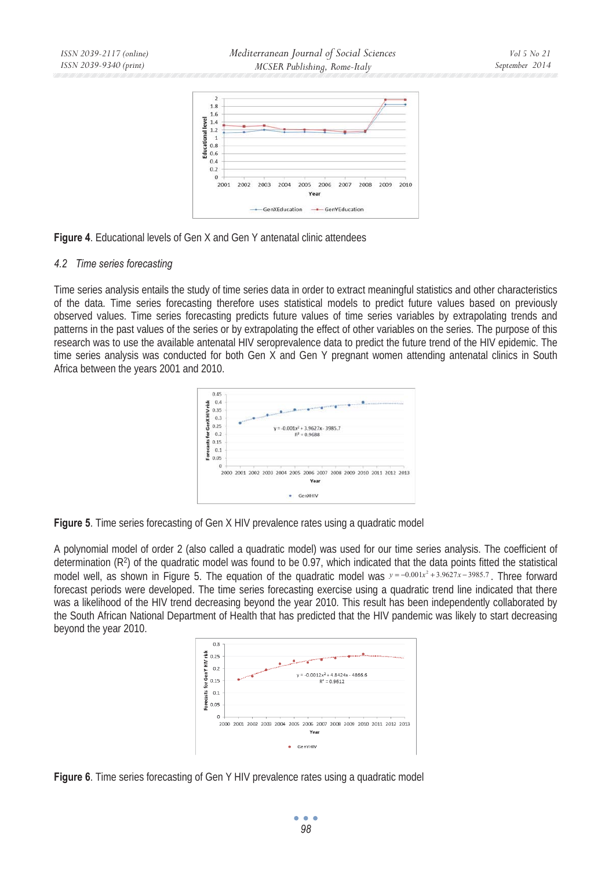*Mediterranean Journal of Social Sciences MCSER Publishing, Rome-Italy* 





#### *4.2 Time series forecasting*

Time series analysis entails the study of time series data in order to extract meaningful statistics and other characteristics of the data. Time series forecasting therefore uses statistical models to predict future values based on previously observed values. Time series forecasting predicts future values of time series variables by extrapolating trends and patterns in the past values of the series or by extrapolating the effect of other variables on the series. The purpose of this research was to use the available antenatal HIV seroprevalence data to predict the future trend of the HIV epidemic. The time series analysis was conducted for both Gen X and Gen Y pregnant women attending antenatal clinics in South Africa between the years 2001 and 2010.



**Figure 5**. Time series forecasting of Gen X HIV prevalence rates using a quadratic model

A polynomial model of order 2 (also called a quadratic model) was used for our time series analysis. The coefficient of determination  $(R^2)$  of the quadratic model was found to be 0.97, which indicated that the data points fitted the statistical model well, as shown in Figure 5. The equation of the quadratic model was  $y = -0.001x^2 + 3.9627x - 3985.7$ . Three forward forecast periods were developed. The time series forecasting exercise using a quadratic trend line indicated that there was a likelihood of the HIV trend decreasing beyond the year 2010. This result has been independently collaborated by the South African National Department of Health that has predicted that the HIV pandemic was likely to start decreasing beyond the year 2010.



**Figure 6**. Time series forecasting of Gen Y HIV prevalence rates using a quadratic model

 $\bullet$   $\bullet$   $\bullet$ *98*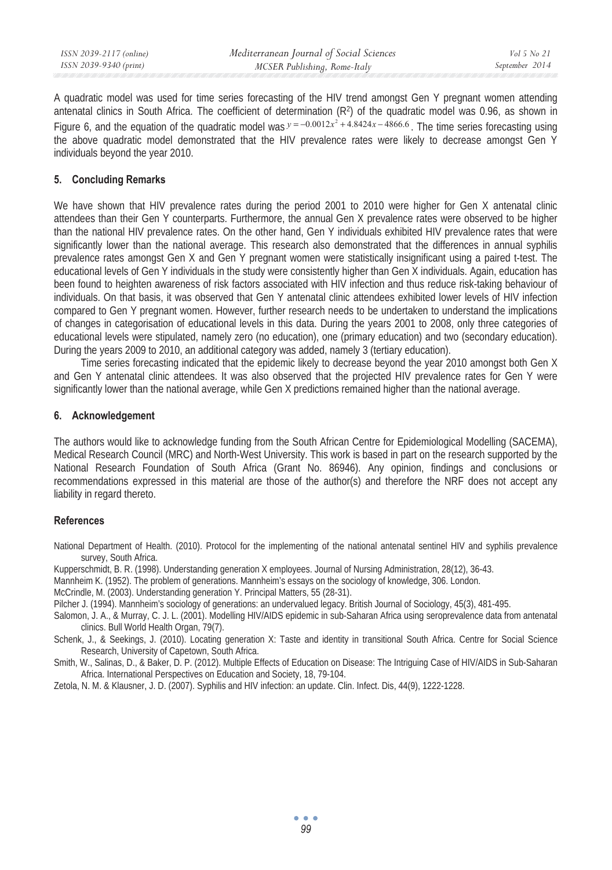| ISSN 2039-9340 (print)<br>September 2014<br>MCSER Publishing, Rome-Italy |  |
|--------------------------------------------------------------------------|--|

A quadratic model was used for time series forecasting of the HIV trend amongst Gen Y pregnant women attending antenatal clinics in South Africa. The coefficient of determination  $(R^2)$  of the quadratic model was 0.96, as shown in Figure 6, and the equation of the quadratic model was  $y = -0.0012x^2 + 4.8424x - 4866.6$ . The time series forecasting using the above quadratic model demonstrated that the HIV prevalence rates were likely to decrease amongst Gen Y individuals beyond the year 2010.

### **5. Concluding Remarks**

We have shown that HIV prevalence rates during the period 2001 to 2010 were higher for Gen X antenatal clinic attendees than their Gen Y counterparts. Furthermore, the annual Gen X prevalence rates were observed to be higher than the national HIV prevalence rates. On the other hand, Gen Y individuals exhibited HIV prevalence rates that were significantly lower than the national average. This research also demonstrated that the differences in annual syphilis prevalence rates amongst Gen X and Gen Y pregnant women were statistically insignificant using a paired t-test. The educational levels of Gen Y individuals in the study were consistently higher than Gen X individuals. Again, education has been found to heighten awareness of risk factors associated with HIV infection and thus reduce risk-taking behaviour of individuals. On that basis, it was observed that Gen Y antenatal clinic attendees exhibited lower levels of HIV infection compared to Gen Y pregnant women. However, further research needs to be undertaken to understand the implications of changes in categorisation of educational levels in this data. During the years 2001 to 2008, only three categories of educational levels were stipulated, namely zero (no education), one (primary education) and two (secondary education). During the years 2009 to 2010, an additional category was added, namely 3 (tertiary education).

Time series forecasting indicated that the epidemic likely to decrease beyond the year 2010 amongst both Gen X and Gen Y antenatal clinic attendees. It was also observed that the projected HIV prevalence rates for Gen Y were significantly lower than the national average, while Gen X predictions remained higher than the national average.

#### **6. Acknowledgement**

The authors would like to acknowledge funding from the South African Centre for Epidemiological Modelling (SACEMA), Medical Research Council (MRC) and North-West University. This work is based in part on the research supported by the National Research Foundation of South Africa (Grant No. 86946). Any opinion, findings and conclusions or recommendations expressed in this material are those of the author(s) and therefore the NRF does not accept any liability in regard thereto.

#### **References**

National Department of Health. (2010). Protocol for the implementing of the national antenatal sentinel HIV and syphilis prevalence survey, South Africa.

- Kupperschmidt, B. R. (1998). Understanding generation X employees. Journal of Nursing Administration, 28(12), 36-43.
- Mannheim K. (1952). The problem of generations. Mannheim's essays on the sociology of knowledge, 306. London.

McCrindle, M. (2003). Understanding generation Y. Principal Matters, 55 (28-31).

Pilcher J. (1994). Mannheim's sociology of generations: an undervalued legacy. British Journal of Sociology, 45(3), 481-495.

Salomon, J. A., & Murray, C. J. L. (2001). Modelling HIV/AIDS epidemic in sub-Saharan Africa using seroprevalence data from antenatal clinics. Bull World Health Organ, 79(7).

Schenk, J., & Seekings, J. (2010). Locating generation X: Taste and identity in transitional South Africa. Centre for Social Science Research, University of Capetown, South Africa.

Smith, W., Salinas, D., & Baker, D. P. (2012). Multiple Effects of Education on Disease: The Intriguing Case of HIV/AIDS in Sub-Saharan Africa. International Perspectives on Education and Society, 18, 79-104.

Zetola, N. M. & Klausner, J. D. (2007). Syphilis and HIV infection: an update. Clin. Infect. Dis, 44(9), 1222-1228.